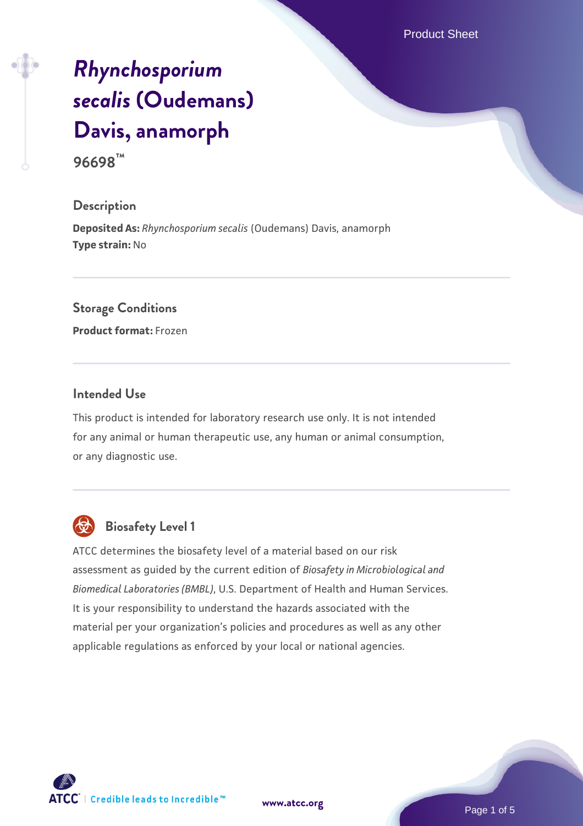Product Sheet

# *[Rhynchosporium](https://www.atcc.org/products/96698) [secalis](https://www.atcc.org/products/96698)* **[\(Oudemans\)](https://www.atcc.org/products/96698) [Davis, anamorph](https://www.atcc.org/products/96698)**

**96698™**

#### **Description**

**Deposited As:** *Rhynchosporium secalis* (Oudemans) Davis, anamorph **Type strain:** No

#### **Storage Conditions**

**Product format:** Frozen

#### **Intended Use**

This product is intended for laboratory research use only. It is not intended for any animal or human therapeutic use, any human or animal consumption, or any diagnostic use.



# **Biosafety Level 1**

ATCC determines the biosafety level of a material based on our risk assessment as guided by the current edition of *Biosafety in Microbiological and Biomedical Laboratories (BMBL)*, U.S. Department of Health and Human Services. It is your responsibility to understand the hazards associated with the material per your organization's policies and procedures as well as any other applicable regulations as enforced by your local or national agencies.

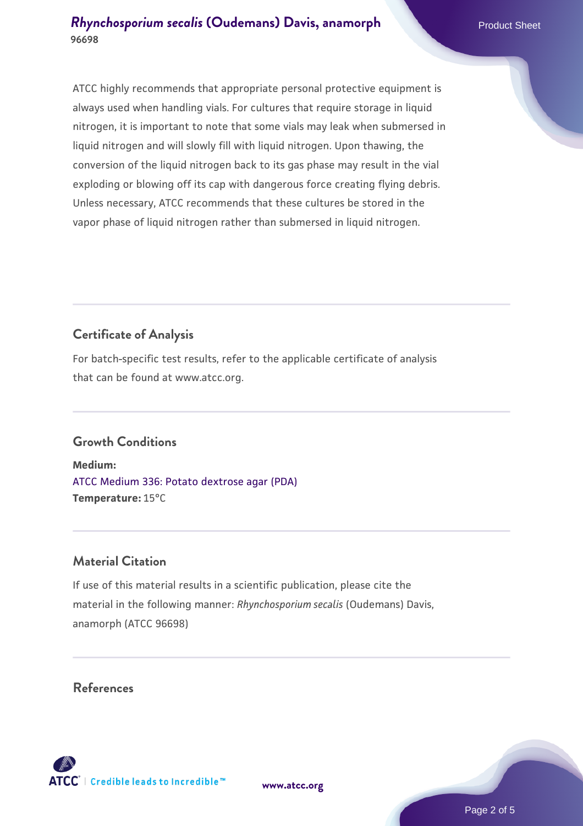ATCC highly recommends that appropriate personal protective equipment is always used when handling vials. For cultures that require storage in liquid nitrogen, it is important to note that some vials may leak when submersed in liquid nitrogen and will slowly fill with liquid nitrogen. Upon thawing, the conversion of the liquid nitrogen back to its gas phase may result in the vial exploding or blowing off its cap with dangerous force creating flying debris. Unless necessary, ATCC recommends that these cultures be stored in the vapor phase of liquid nitrogen rather than submersed in liquid nitrogen.

## **Certificate of Analysis**

For batch-specific test results, refer to the applicable certificate of analysis that can be found at www.atcc.org.

#### **Growth Conditions**

**Medium:**  [ATCC Medium 336: Potato dextrose agar \(PDA\)](https://www.atcc.org/-/media/product-assets/documents/microbial-media-formulations/3/3/6/atcc-medium-336.pdf?rev=d9160ad44d934cd8b65175461abbf3b9) **Temperature:** 15°C

#### **Material Citation**

If use of this material results in a scientific publication, please cite the material in the following manner: *Rhynchosporium secalis* (Oudemans) Davis, anamorph (ATCC 96698)

#### **References**



**[www.atcc.org](http://www.atcc.org)**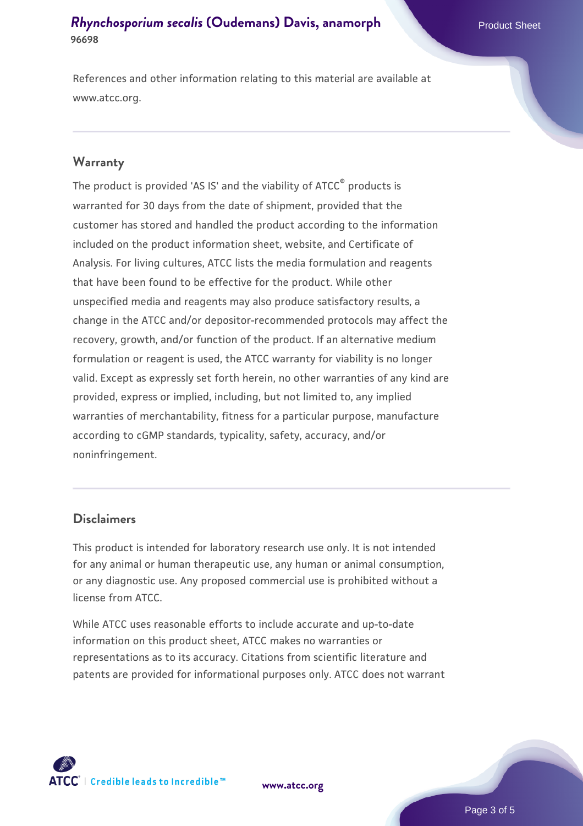References and other information relating to this material are available at www.atcc.org.

#### **Warranty**

The product is provided 'AS IS' and the viability of ATCC® products is warranted for 30 days from the date of shipment, provided that the customer has stored and handled the product according to the information included on the product information sheet, website, and Certificate of Analysis. For living cultures, ATCC lists the media formulation and reagents that have been found to be effective for the product. While other unspecified media and reagents may also produce satisfactory results, a change in the ATCC and/or depositor-recommended protocols may affect the recovery, growth, and/or function of the product. If an alternative medium formulation or reagent is used, the ATCC warranty for viability is no longer valid. Except as expressly set forth herein, no other warranties of any kind are provided, express or implied, including, but not limited to, any implied warranties of merchantability, fitness for a particular purpose, manufacture according to cGMP standards, typicality, safety, accuracy, and/or noninfringement.

#### **Disclaimers**

This product is intended for laboratory research use only. It is not intended for any animal or human therapeutic use, any human or animal consumption, or any diagnostic use. Any proposed commercial use is prohibited without a license from ATCC.

While ATCC uses reasonable efforts to include accurate and up-to-date information on this product sheet, ATCC makes no warranties or representations as to its accuracy. Citations from scientific literature and patents are provided for informational purposes only. ATCC does not warrant



**[www.atcc.org](http://www.atcc.org)**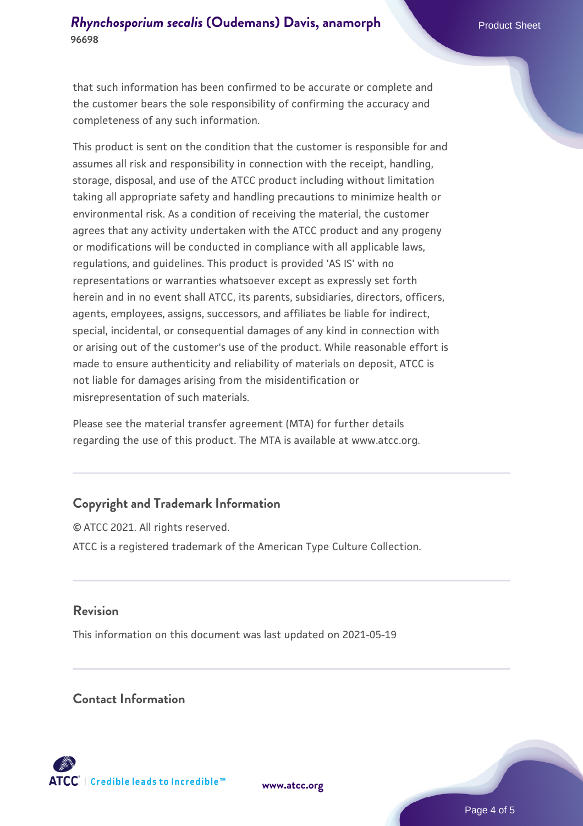that such information has been confirmed to be accurate or complete and the customer bears the sole responsibility of confirming the accuracy and completeness of any such information.

This product is sent on the condition that the customer is responsible for and assumes all risk and responsibility in connection with the receipt, handling, storage, disposal, and use of the ATCC product including without limitation taking all appropriate safety and handling precautions to minimize health or environmental risk. As a condition of receiving the material, the customer agrees that any activity undertaken with the ATCC product and any progeny or modifications will be conducted in compliance with all applicable laws, regulations, and guidelines. This product is provided 'AS IS' with no representations or warranties whatsoever except as expressly set forth herein and in no event shall ATCC, its parents, subsidiaries, directors, officers, agents, employees, assigns, successors, and affiliates be liable for indirect, special, incidental, or consequential damages of any kind in connection with or arising out of the customer's use of the product. While reasonable effort is made to ensure authenticity and reliability of materials on deposit, ATCC is not liable for damages arising from the misidentification or misrepresentation of such materials.

Please see the material transfer agreement (MTA) for further details regarding the use of this product. The MTA is available at www.atcc.org.

#### **Copyright and Trademark Information**

© ATCC 2021. All rights reserved. ATCC is a registered trademark of the American Type Culture Collection.

#### **Revision**

This information on this document was last updated on 2021-05-19

#### **Contact Information**



**[www.atcc.org](http://www.atcc.org)**